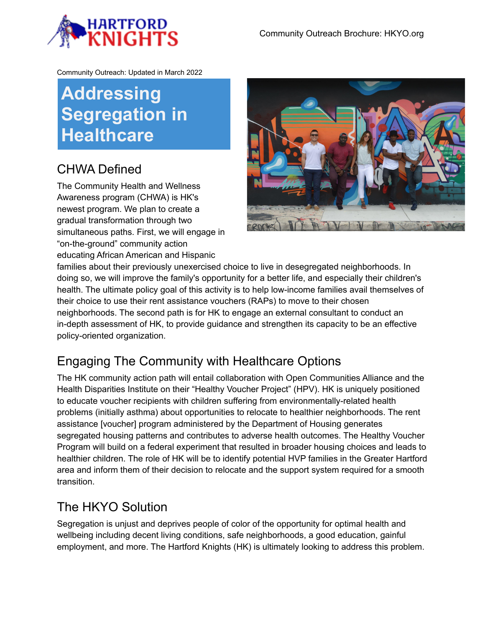

Community Outreach: Updated in March 2022

## **Addressing Segregation in Healthcare**

## CHWA Defined

The Community Health and Wellness Awareness program (CHWA) is HK's newest program. We plan to create a gradual transformation through two simultaneous paths. First, we will engage in "on-the-ground" community action educating African American and Hispanic



families about their previously unexercised choice to live in desegregated neighborhoods. In doing so, we will improve the family's opportunity for a better life, and especially their children's health. The ultimate policy goal of this activity is to help low-income families avail themselves of their choice to use their rent assistance vouchers (RAPs) to move to their chosen neighborhoods. The second path is for HK to engage an external consultant to conduct an in-depth assessment of HK, to provide guidance and strengthen its capacity to be an effective policy-oriented organization.

## Engaging The Community with Healthcare Options

The HK community action path will entail collaboration with Open Communities Alliance and the Health Disparities Institute on their "Healthy Voucher Project" (HPV). HK is uniquely positioned to educate voucher recipients with children suffering from environmentally-related health problems (initially asthma) about opportunities to relocate to healthier neighborhoods. The rent assistance [voucher] program administered by the Department of Housing generates segregated housing patterns and contributes to adverse health outcomes. The Healthy Voucher Program will build on a federal experiment that resulted in broader housing choices and leads to healthier children. The role of HK will be to identify potential HVP families in the Greater Hartford area and inform them of their decision to relocate and the support system required for a smooth transition.

## The HKYO Solution

Segregation is unjust and deprives people of color of the opportunity for optimal health and wellbeing including decent living conditions, safe neighborhoods, a good education, gainful employment, and more. The Hartford Knights (HK) is ultimately looking to address this problem.